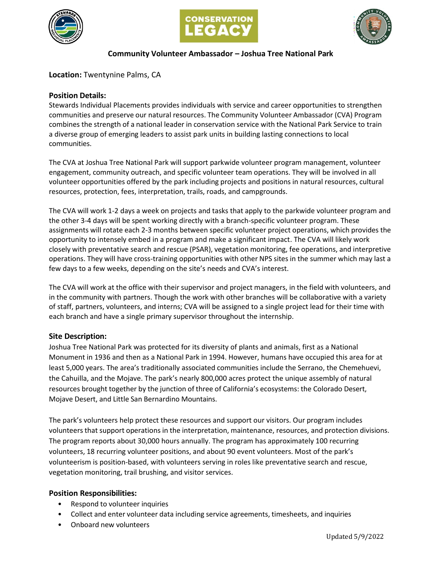





# **Community Volunteer Ambassador – Joshua Tree National Park**

**Location:** Twentynine Palms, CA

## **Position Details:**

Stewards Individual Placements provides individuals with service and career opportunities to strengthen communities and preserve our natural resources. The Community Volunteer Ambassador (CVA) Program combines the strength of a national leader in conservation service with the National Park Service to train a diverse group of emerging leaders to assist park units in building lasting connections to local communities.

The CVA at Joshua Tree National Park will support parkwide volunteer program management, volunteer engagement, community outreach, and specific volunteer team operations. They will be involved in all volunteer opportunities offered by the park including projects and positions in natural resources, cultural resources, protection, fees, interpretation, trails, roads, and campgrounds.

The CVA will work 1-2 days a week on projects and tasks that apply to the parkwide volunteer program and the other 3-4 days will be spent working directly with a branch-specific volunteer program. These assignments will rotate each 2-3 months between specific volunteer project operations, which provides the opportunity to intensely embed in a program and make a significant impact. The CVA will likely work closely with preventative search and rescue (PSAR), vegetation monitoring, fee operations, and interpretive operations. They will have cross-training opportunities with other NPS sites in the summer which may last a few days to a few weeks, depending on the site's needs and CVA's interest.

The CVA will work at the office with their supervisor and project managers, in the field with volunteers, and in the community with partners. Though the work with other branches will be collaborative with a variety of staff, partners, volunteers, and interns; CVA will be assigned to a single project lead for their time with each branch and have a single primary supervisor throughout the internship.

## **Site Description:**

Joshua Tree National Park was protected for its diversity of plants and animals, first as a National Monument in 1936 and then as a National Park in 1994. However, humans have occupied this area for at least 5,000 years. The area's traditionally associated communities include the Serrano, the Chemehuevi, the Cahuilla, and the Mojave. The park's nearly 800,000 acres protect the unique assembly of natural resources brought together by the junction of three of California's ecosystems: the Colorado Desert, Mojave Desert, and Little San Bernardino Mountains.

The park's volunteers help protect these resources and support our visitors. Our program includes volunteers that support operations in the interpretation, maintenance, resources, and protection divisions. The program reports about 30,000 hours annually. The program has approximately 100 recurring volunteers, 18 recurring volunteer positions, and about 90 event volunteers. Most of the park's volunteerism is position-based, with volunteers serving in roles like preventative search and rescue, vegetation monitoring, trail brushing, and visitor services.

## **Position Responsibilities:**

- Respond to volunteer inquiries
- Collect and enter volunteer data including service agreements, timesheets, and inquiries
- Onboard new volunteers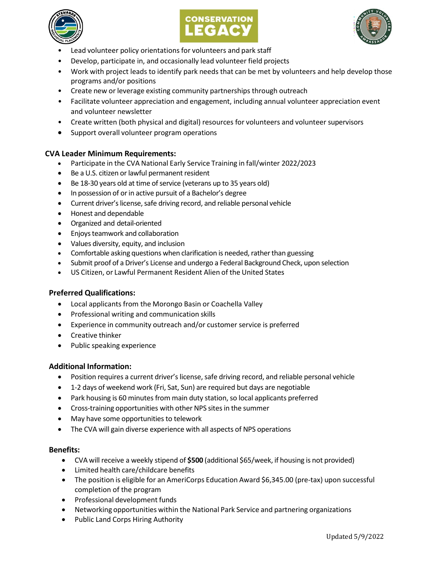





- Lead volunteer policy orientations for volunteers and park staff
- Develop, participate in, and occasionally lead volunteer field projects
- Work with project leads to identify park needs that can be met by volunteers and help develop those programs and/or positions
- Create new or leverage existing community partnerships through outreach
- Facilitate volunteer appreciation and engagement, including annual volunteer appreciation event and volunteer newsletter
- Create written (both physical and digital) resources for volunteers and volunteer supervisors
- Support overall volunteer program operations

#### **CVA Leader Minimum Requirements:**

- Participate in the CVA National Early Service Training in fall/winter 2022/2023
- Be a U.S. citizen or lawful permanent resident
- Be 18-30 years old at time of service (veterans up to 35 years old)
- In possession of or in active pursuit of a Bachelor's degree
- Current driver's license, safe driving record, and reliable personal vehicle
- Honest and dependable
- Organized and detail-oriented
- Enjoys teamwork and collaboration
- Values diversity, equity, and inclusion
- Comfortable asking questions when clarification is needed, rather than guessing
- Submit proof of a Driver's License and undergo a Federal Background Check, upon selection
- US Citizen, or Lawful Permanent Resident Alien of the United States

#### **Preferred Qualifications:**

- Local applicants from the Morongo Basin or Coachella Valley
- Professional writing and communication skills
- Experience in community outreach and/or customer service is preferred
- Creative thinker
- Public speaking experience

#### **Additional Information:**

- Position requires a current driver's license, safe driving record, and reliable personal vehicle
- 1-2 days of weekend work (Fri, Sat, Sun) are required but days are negotiable
- Park housing is 60 minutes from main duty station, so local applicants preferred
- Cross-training opportunities with other NPS sites in the summer
- May have some opportunities to telework
- The CVA will gain diverse experience with all aspects of NPS operations

#### **Benefits:**

- CVA will receive a weekly stipend of **\$500** (additional \$65/week, if housing is not provided)
- Limited health care/childcare benefits
- The position is eligible for an AmeriCorps Education Award \$6,345.00 (pre-tax) upon successful completion of the program
- Professional development funds
- Networking opportunities within the National Park Service and partnering organizations
- Public Land Corps Hiring Authority